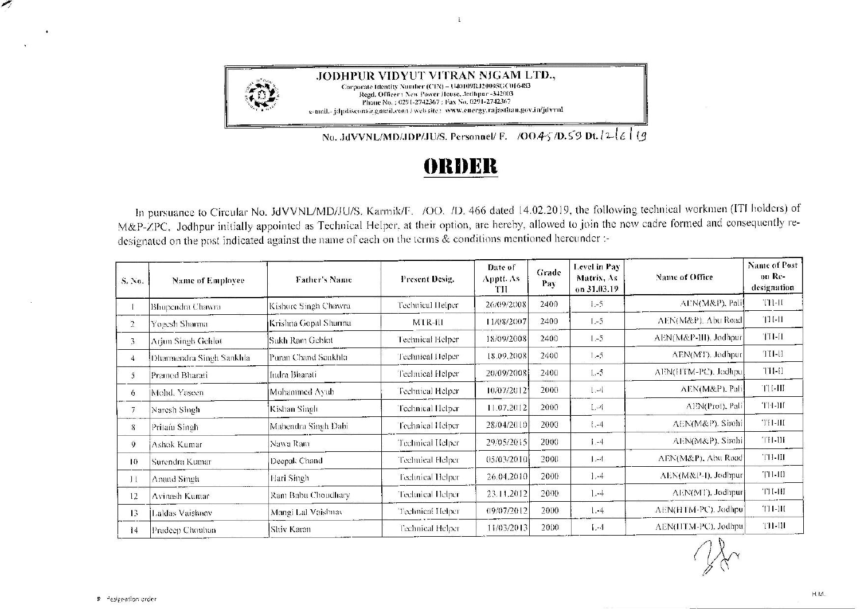

**JODHPUR VIDYUT VITRAN NIGAM LTD.,** Corporate Identity Number (CIN) - U40109RJ2000SGC016483 Regd. Officer: New Power House, Jothpur -342003 Phone No.: 0291-2742367: Fax No. 0291-2742367 t-mail.- jdpdiscornia.gmail.com / web site: www.energy.rajasthan.gov.in/jdvvnl

 $\ddot{\phantom{a}}$ 

No. JdVVNL/MD/JDP/JU/S. Personnel/ F. /OO.4-5/D.S-9 Dt.  $2\epsilon$  | *g* 

## **f)lll)l~ll**

In pursuance to Circular No. JdVVNL/MD/JU/S. Karrnik/F. /00. /D. 466 dated 14.02.2019, the following technical workmen (!Tl holders) of M&P-ZPC. Jodhpur initially appointed as Technical Helper, at their option, are hereby, allowed to join the new cadre formed and consequently redesignated on the post indicated against the name of each on the terms & conditions mentioned hereunder:-

| S. No.            | Name of Employee         | Father's Name        | Present Desig.    | Date of<br>Apptt. As<br>TП | Grade<br>Pay | Level in Pay<br>Matrix, As<br>on 31.03.19 | Name of Office        | Name of Post<br>on Re-<br>designation |
|-------------------|--------------------------|----------------------|-------------------|----------------------------|--------------|-------------------------------------------|-----------------------|---------------------------------------|
|                   | Bhupendra Chawra         | Kishore Singh Chawra | Technical Helper  | 26/09/2008                 | 2400         | $1 - 5$                                   | AEN(M&P), Pali        | TH-II                                 |
| $\overline{2}$    | Yogesh Sharma            | Krishna Gopal Sharma | MTR-III           | 11/08/2007                 | 2400         | $1 - 5$                                   | AEN(M&P). Abu Road    | TH-11                                 |
| 3                 | Arjun Singh Gehlot       | Sukh Ram Gehlot      | Technical Helper  | 18/09/2008                 | 2400         | $1 - 5$                                   | AEN(M&P-III), Jodhpur | <b>TH-II</b>                          |
| 4                 | Dharmendra Singh Sankhla | Puran Chand Saukhla- | Technical Helper  | 18.09.2008                 | 2400         | $1 - 5$                                   | AEN(MT), Jodhpur      | TH-H                                  |
| 5                 | Pramed Bharati           | Indra Bharati        | Technical Helper  | 20/09/2008                 | 2400         | $1. -5$                                   | AEN(HTM-PC), Jodhpu   | THH                                   |
| 6                 | Mohd, Yaseen.            | Mohammed Ayub        | Technical Helper  | 10/07/2012                 | 2000         | $1 - 4$                                   | AEN(M&P), Pali        | <b>TH-HI</b>                          |
|                   | Naresh Singh             | Kishan Singh         | Technical Helper  | 11.07.2012                 | 2000         | $L - 4$                                   | AEN(Prot), Pali       | TH-HI                                 |
| 8                 | Pritain Singh            | Mahendra Singh Dabi  | Technical Helper  | 28/04/2010                 | 2000         | $1. -4$                                   | AEN(M&P). Sirohi      | TH-III                                |
| 9                 | Ashok Kumar              | Nawa Ram             | Technical Helper  | 29/05/2015                 | 2000         | $1 - 4$                                   | AEN(M&P), Sirohi      | TH-III                                |
| $\vert 0 \rangle$ | Surendra Kumar           | Deepak Chand         | Technical Flelper | 05/03/2010                 | 2000         | $1 - 4$                                   | AEN(M&P), Abu Road    | TH-III                                |
|                   | Anand Singh              | Hari Singh           | Feelinical Helper | 26.04.2010]                | 2000         | $1,-4$                                    | AEN(M&P-I), Jodhpur   | TH-III                                |
| $12^{1}$          | Avinash Kumar            | Ram Babu Choudhary   | Technical Helper  | 23.11.2012                 | 2000         | $1 - 4$                                   | AEN(MT), Jodhpur      | TH-HI                                 |
| 13                | Laldas Vaishnav          | Mangi Lal Vaishnav   | Technical Helper  | 09/07/2012                 | 2000         | $1 - 4$                                   | AEN(HTM-PC). Jodhpu]  | TH-III                                |
| 14                | Pradeep Chouhan          | Shiv Karan           | l'echnical Helper | 11/03/2013                 | 2000         | $1 - 1$                                   | AEN(HTM-PC), Jodhpu   | TH-UI                                 |